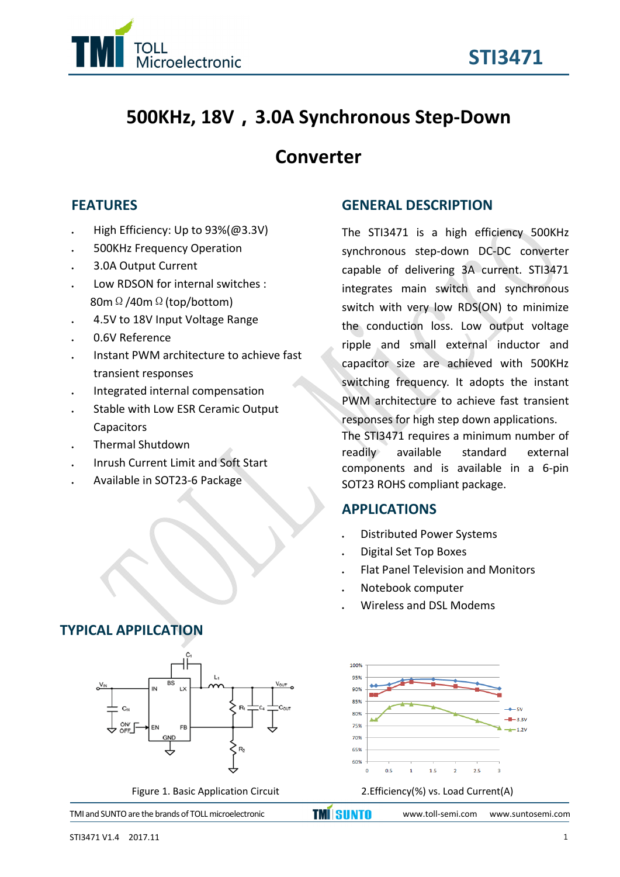

# **500KHz, 18V,3.0A Synchronous Step‐Down**

# **Converter**

# **FEATURES**

- High Efficiency: Up to 93%(@3.3V)
- 500KHz Frequency Operation
- 3.0A Output Current
- Low RDSON for internal switches : 80m Ω /40m Ω (top/bottom)
- 4.5V to 18V Input Voltage Range
- 0.6V Reference
- Instant PWM architecture to achieve fast transient responses
- Integrated internal compensation
- Stable with Low ESR Ceramic Output Capacitors
- Thermal Shutdown
- Inrush Current Limit and Soft Start
- Available in SOT23‐6 Package

# **TYPICAL APPILCATION**



Figure 1. Basic Application Circuit 2.Efficiency(%) vs. Load Current(A)

TMI and SUNTO are the brands of TOLL microelectronic

### **GENERAL DESCRIPTION**

The STI3471 is a high efficiency 500KHz synchronous step‐down DC‐DC converter capable of delivering 3A current. STI3471 integrates main switch and synchronous switch with very low RDS(ON) to minimize the conduction loss. Low output voltage ripple and small external inductor and capacitor size are achieved with 500KHz switching frequency. It adopts the instant PWM architecture to achieve fast transient responses for high step down applications.

The STI3471 requires a minimum number of readily available standard external components and is available in a 6‐pin SOT23 ROHS compliant package.

### **APPLICATIONS**

- Distributed Power Systems
- Digital Set Top Boxes
- Flat Panel Television and Monitors
- Notebook computer
- Wireless and DSL Modems



**TMI SUNTO** 

www.toll-semi.com www.suntosemi.com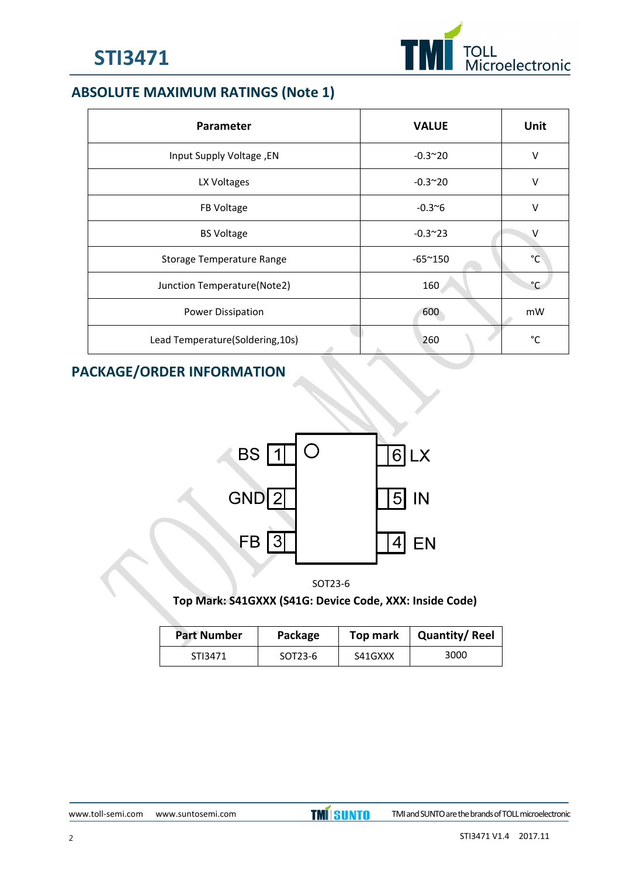

# **ABSOLUTE MAXIMUM RATINGS (Note 1)**

| <b>Parameter</b>                 | <b>VALUE</b>    | Unit        |  |
|----------------------------------|-----------------|-------------|--|
| Input Supply Voltage, EN         | $-0.3^{\sim}20$ | v           |  |
| LX Voltages                      | $-0.3^{\sim}20$ |             |  |
| FB Voltage                       | $-0.3^{\circ}6$ |             |  |
| <b>BS Voltage</b>                | $-0.3^{\sim}23$ |             |  |
| Storage Temperature Range        | $-65^{\sim}150$ | °C          |  |
| Junction Temperature(Note2)      | 160             | $^{\circ}C$ |  |
| <b>Power Dissipation</b>         | 600             | mW          |  |
| Lead Temperature(Soldering, 10s) | 260             | °C          |  |

## **PACKAGE/ORDER INFORMATION**



SOT23‐6

### **Top Mark: S41GXXX (S41G: Device Code, XXX: Inside Code)**

| <b>Part Number</b> | Package | Top mark | <b>Quantity/Reel</b> |
|--------------------|---------|----------|----------------------|
| STI3471            | SOT23-6 | S41GXXX  | 3000                 |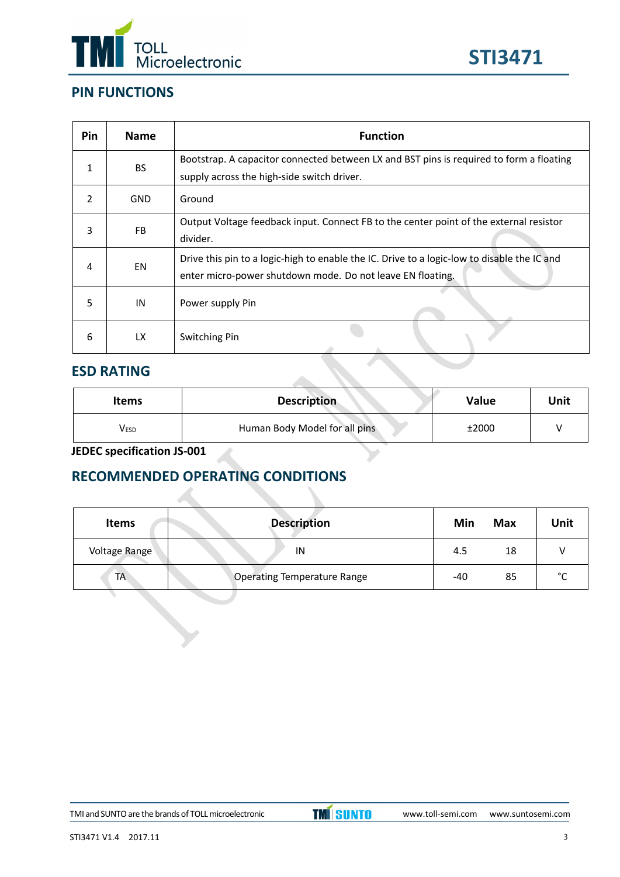



# **PIN FUNCTIONS**

| Pin            | <b>Name</b> | <b>Function</b>                                                                                                                                           |  |  |
|----------------|-------------|-----------------------------------------------------------------------------------------------------------------------------------------------------------|--|--|
| $\mathbf{1}$   | <b>BS</b>   | Bootstrap. A capacitor connected between LX and BST pins is required to form a floating<br>supply across the high-side switch driver.                     |  |  |
| $\overline{2}$ | <b>GND</b>  | Ground                                                                                                                                                    |  |  |
| 3              | FB          | Output Voltage feedback input. Connect FB to the center point of the external resistor<br>divider.                                                        |  |  |
| 4              | EN          | Drive this pin to a logic-high to enable the IC. Drive to a logic-low to disable the IC and<br>enter micro-power shutdown mode. Do not leave EN floating. |  |  |
| 5              | IN          | Power supply Pin                                                                                                                                          |  |  |
| 6              | LX.         | Switching Pin                                                                                                                                             |  |  |

### **ESD RATING**

| <b>Items</b> | <b>Description</b>            | <b>Value</b> | Unit |
|--------------|-------------------------------|--------------|------|
| <b>VESD</b>  | Human Body Model for all pins | ±2000        |      |

**JEDEC specification JS‐001**

# **RECOMMENDED OPERATING CONDITIONS**

| <b>Items</b>         | <b>Description</b>                 | Min | <b>Max</b> | Unit   |
|----------------------|------------------------------------|-----|------------|--------|
| <b>Voltage Range</b> | IN                                 | 4.5 | 18         |        |
| TA                   | <b>Operating Temperature Range</b> | -40 | 85         | $\sim$ |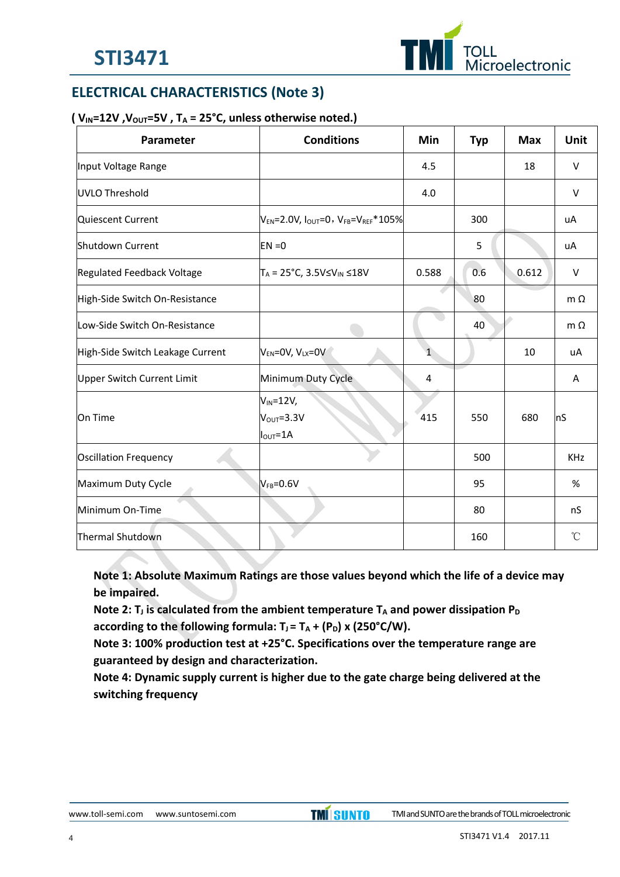

# **ELECTRICAL CHARACTERISTICS (Note 3)**

#### ( $V_{IN}$ =12V,  $V_{OUT}$ =5V,  $T_A$  = 25°C, unless otherwise noted.)

| Parameter                         | <b>Conditions</b>                                                  | Min   | <b>Typ</b> | <b>Max</b> | Unit         |
|-----------------------------------|--------------------------------------------------------------------|-------|------------|------------|--------------|
| Input Voltage Range               |                                                                    | 4.5   |            | 18         | V            |
| UVLO Threshold                    |                                                                    | 4.0   |            |            | V            |
| Quiescent Current                 | $V_{EN} = 2.0 V, I_{OUT} = 0, V_{FB} = V_{REF} * 105%$             |       | 300        |            | uA           |
| Shutdown Current                  | $EN = 0$                                                           |       | 5          |            | uA           |
| <b>Regulated Feedback Voltage</b> | $T_A = 25^{\circ}C$ , 3.5V $V_{IN} \le 18V$                        | 0.588 | 0.6        | 0.612      | V            |
| High-Side Switch On-Resistance    |                                                                    |       | 80         |            | $m \Omega$   |
| Low-Side Switch On-Resistance     |                                                                    |       | 40         | ò          | $m \Omega$   |
| High-Side Switch Leakage Current  | $V_{EN} = 0V$ , $V_{LX} = 0V$                                      | 1     |            | 10         | uA           |
| Upper Switch Current Limit        | Minimum Duty Cycle                                                 | 4     |            |            | A            |
| On Time                           | $V_{IN} = 12V,$<br>$V_{\text{OUT}} = 3.3V$<br>$ I_{\text{OUT}}=1A$ | 415   | 550        | 680        | lnS          |
| Oscillation Frequency             |                                                                    |       | 500        |            | <b>KHz</b>   |
| Maximum Duty Cycle                | $V_{FB} = 0.6V$                                                    |       | 95         |            | %            |
| Minimum On-Time                   |                                                                    |       | 80         |            | nS           |
| Thermal Shutdown                  |                                                                    |       | 160        |            | $^{\circ}$ C |

**Note 1: Absolute Maximum Ratings are those values beyond which the life of a device may be impaired.**

Note 2: T<sub>J</sub> is calculated from the ambient temperature T<sub>A</sub> and power dissipation P<sub>D</sub> according to the following formula:  $T_J = T_A + (P_D)$  x (250°C/W).

**Note 3: 100% production test at +25°C. Specifications over the temperature range are guaranteed by design and characterization.**

**Note 4: Dynamic supply current is higher due to the gate charge being delivered at the switching frequency**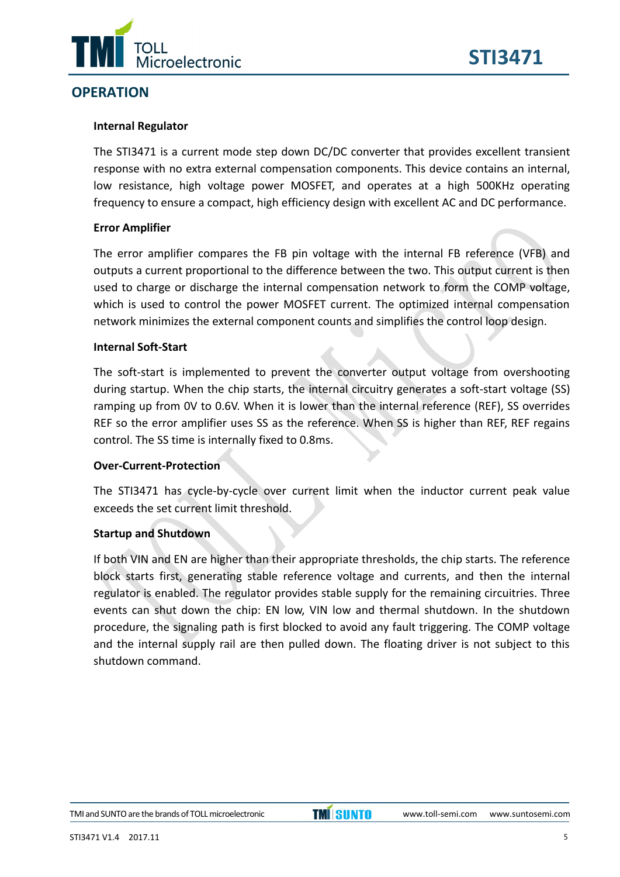

### **OPERATION**

#### **Internal Regulator**

The STI3471 is a current mode step down DC/DC converter that provides excellent transient response with no extra external compensation components. This device contains an internal, low resistance, high voltage power MOSFET, and operates at a high 500KHz operating frequency to ensure a compact, high efficiency design with excellent AC and DC performance.

**STI3471**

#### **Error Amplifier**

The error amplifier compares the FB pin voltage with the internal FB reference (VFB) and outputs a current proportional to the difference between the two. This output current is then used to charge or discharge the internal compensation network to form the COMP voltage, which is used to control the power MOSFET current. The optimized internal compensation network minimizes the external component counts and simplifies the control loop design.

#### **Internal Soft‐Start**

The soft-start is implemented to prevent the converter output voltage from overshooting during startup. When the chip starts, the internal circuitry generates a soft‐start voltage (SS) ramping up from 0V to 0.6V. When it is lower than the internal reference (REF), SS overrides REF so the error amplifier uses SS as the reference. When SS is higher than REF, REF regains control. The SS time is internally fixed to 0.8ms.

#### **Over‐Current‐Protection**

The STI3471 has cycle‐by‐cycle over current limit when the inductor current peak value exceeds the set current limit threshold.

#### **Startup and Shutdown**

If both VIN and EN are higher than their appropriate thresholds, the chip starts. The reference block starts first, generating stable reference voltage and currents, and then the internal regulator is enabled. The regulator provides stable supply for the remaining circuitries. Three events can shut down the chip: EN low, VIN low and thermal shutdown. In the shutdown procedure, the signaling path is first blocked to avoid any fault triggering. The COMP voltage and the internal supply rail are then pulled down. The floating driver is not subject to this shutdown command.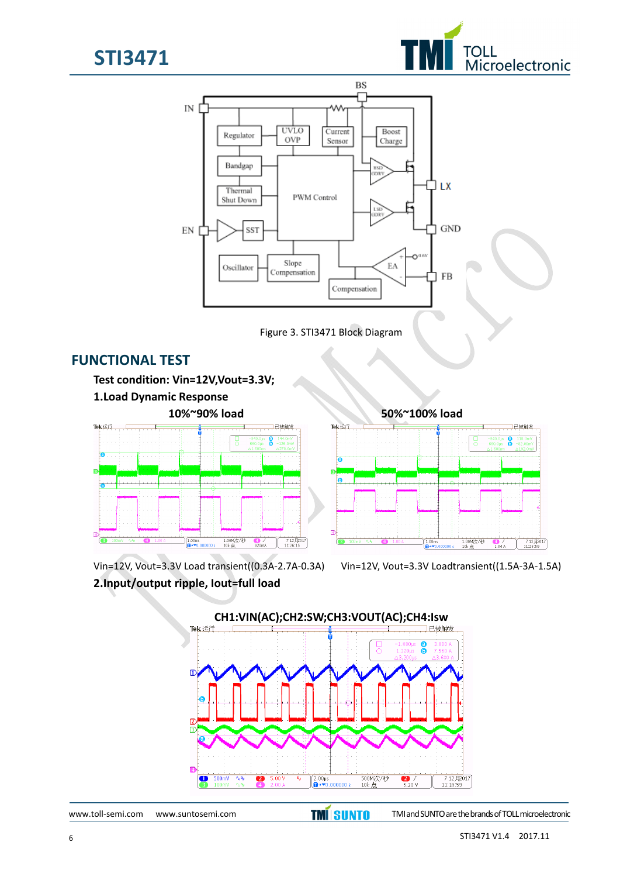







### **FUNCTIONAL TEST**

**Test condition: Vin=12V,Vout=3.3V;**

**1.Load Dynamic Response**



**2.Input/output ripple, Iout=full load**



Vin=12V, Vout=3.3V Load transient((0.3A‐2.7A‐0.3A) Vin=12V, Vout=3.3V Loadtransient((1.5A‐3A‐1.5A)



www.toll-semi.com www.suntosemi.com TMISUNTO TMIandSUNTOare the brands of TOLL microelectronic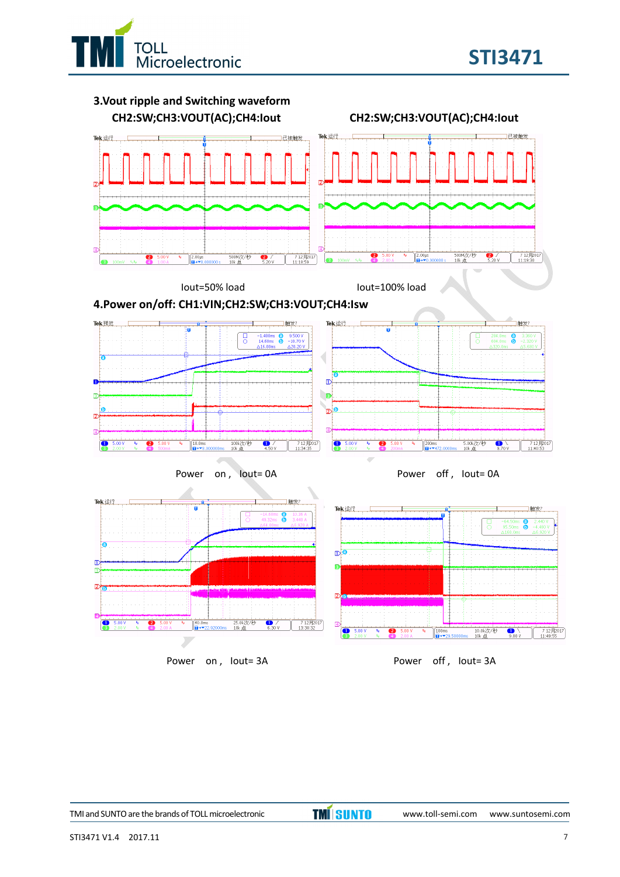





Power on, lout= 3A Power off, lout= 3A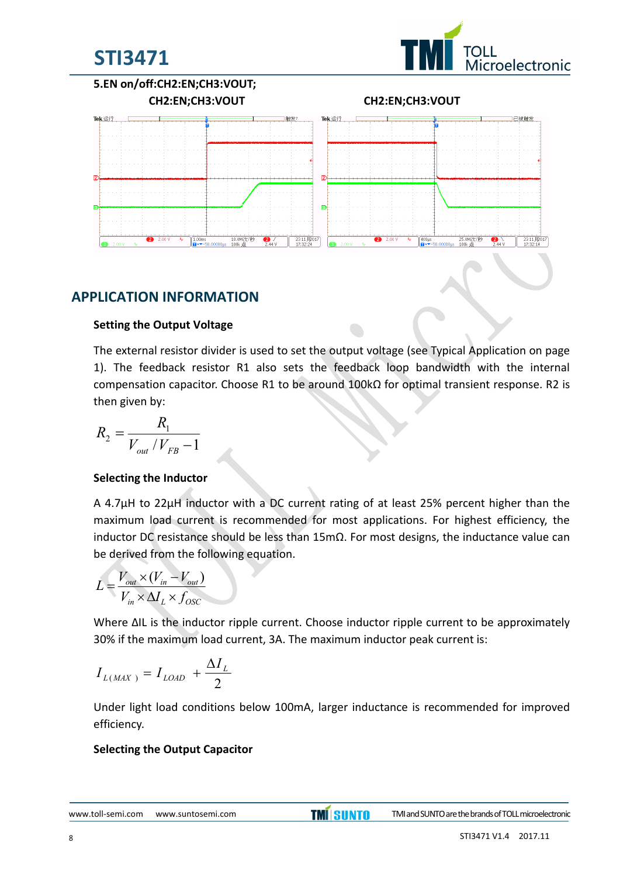





## **APPLICATION INFORMATION**

#### **Setting the Output Voltage**

The external resistor divider is used to set the output voltage (see Typical Application on page 1). The feedback resistor R1 also sets the feedback loop bandwidth with the internal compensation capacitor. Choose R1 to be around 100kΩ for optimal transient response. R2 is then given by:

$$
R_2 = \frac{R_1}{V_{out} / V_{FB} - 1}
$$

#### **Selecting the Inductor**

A 4.7μH to 22μH inductor with a DC current rating of at least 25% percent higher than the maximum load current is recommended for most applications. For highest efficiency, the inductor DC resistance should be less than 15mΩ. For most designs, the inductance value can be derived from the following equation.

$$
L = \frac{V_{out} \times (V_{in} - V_{out})}{V_{in} \times \Delta I_L \times f_{OSC}}
$$

Where ΔIL is the inductor ripple current. Choose inductor ripple current to be approximately 30% if the maximum load current, 3A. The maximum inductor peak current is:

$$
I_{L(MAX)}=I_{LOAD}~+\frac{\Delta I_L}{2}
$$

Under light load conditions below 100mA, larger inductance is recommended for improved efficiency.

#### **Selecting the Output Capacitor**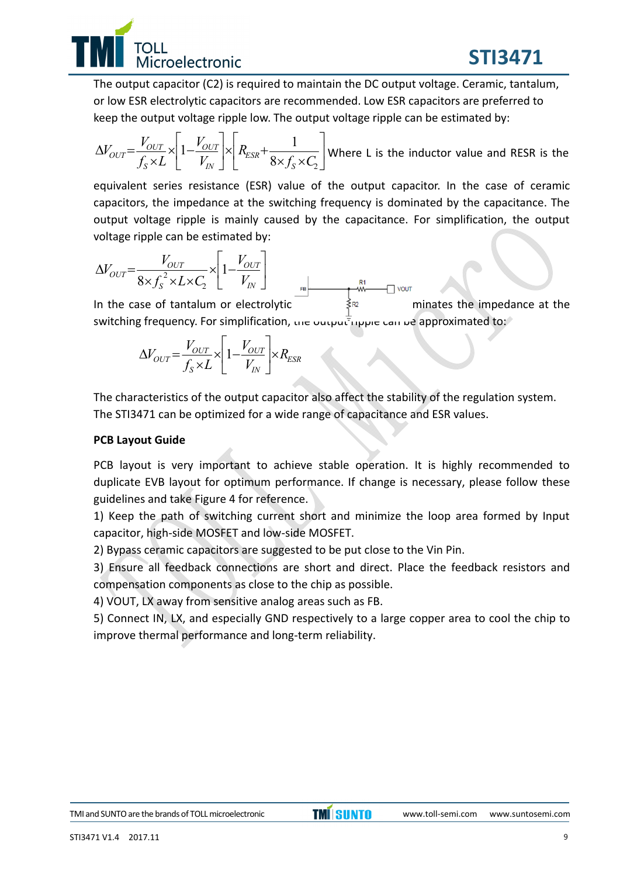

The output capacitor (C2) is required to maintain the DC output voltage. Ceramic, tantalum, or low ESR electrolytic capacitors are recommended. Low ESR capacitors are preferred to keep the output voltage ripple low. The output voltage ripple can be estimated by:

 $\overline{\phantom{a}}$  $\overline{\phantom{a}}$  $R_{ESR} + \frac{1}{8 \times 6 \times C}$ L  $\mathbf{r}$  $\int \times \left[ R_{ESR} + \frac{1}{8 \times f_S \times} \right]$  $\left|1-\frac{V_{OUT}}{V}\right|$ L  $\mathsf{L}$  $\Delta V_{OUT} = \frac{V_{OUT}}{f_S \times L} \times \left[1 - \frac{V_{OUT}}{V_{IN}}\right] \times \left[R_{ESR} + \frac{1}{8 \times f_S \times C_2}\right]$  $1-\frac{V_{OUT}}{V}$   $\times$   $R_{ESR}$  +  $\frac{1}{\gamma}$  $f_{S} \times C$ *R V V*  $f_{S} \times L$  $V_{OUT} = \frac{V_{O}}{c}$ *S ESR IN OUT S*  $V_{OUT} = \frac{V_{OUT}}{V_{CUT}} \times 1 - \frac{V_{OUT}}{V} \times 1 - \frac{V_{OUT}}{V} \times 1 - \frac{V_{CUT}}{V} \times 1 - \frac{1}{2}$  Where L is the inductor value and RESR is the

equivalent series resistance (ESR) value of the output capacitor. In the case of ceramic capacitors, the impedance at the switching frequency is dominated by the capacitance. The output voltage ripple is mainly caused by the capacitance. For simplification, the output voltage ripple can be estimated by:

$$
\Delta V_{OUT} = \frac{V_{OUT}}{8 \times f_{S}^{2} \times L \times C_{2}} \times \left[1 - \frac{V_{OUT}}{V_{IN}}\right]
$$

In the case of tantalum or electrolytic  $\hat{\xi}^{R2}$  minates the impedance at the switching frequency. For simplification, the output ripple can be approximated to:

$$
\Delta V_{OUT} = \frac{V_{OUT}}{f_s \times L} \times \left[1 - \frac{V_{OUT}}{V_{IN}}\right] \times R_{ESR}
$$

The characteristics of the output capacitor also affect the stability of the regulation system. The STI3471 can be optimized for a wide range of capacitance and ESR values.

### **PCB Layout Guide**

PCB layout is very important to achieve stable operation. It is highly recommended to duplicate EVB layout for optimum performance. If change is necessary, please follow these guidelines and take Figure 4 for reference.

1) Keep the path of switching current short and minimize the loop area formed by Input capacitor, high‐side MOSFET and low‐side MOSFET.

2) Bypass ceramic capacitors are suggested to be put close to the Vin Pin.

3) Ensure all feedback connections are short and direct. Place the feedback resistors and compensation components as close to the chip as possible.

4) VOUT, LX away from sensitive analog areas such as FB.

5) Connect IN, LX, and especially GND respectively to a large copper area to cool the chip to improve thermal performance and long-term reliability.